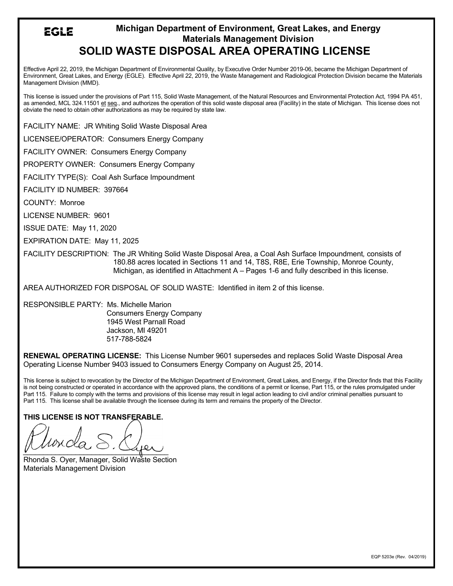## **Michigan Department of Environment, Great Lakes, and Energy** EGLE **Materials Management Division SOLID WASTE DISPOSAL AREA OPERATING LICENSE**

Effective April 22, 2019, the Michigan Department of Environmental Quality, by Executive Order Number 2019-06, became the Michigan Department of Environment, Great Lakes, and Energy (EGLE). Effective April 22, 2019, the Waste Management and Radiological Protection Division became the Materials Management Division (MMD).

This license is issued under the provisions of Part 115, Solid Waste Management, of the Natural Resources and Environmental Protection Act, 1994 PA 451, as amended, MCL 324.11501 et seq., and authorizes the operation of this solid waste disposal area (Facility) in the state of Michigan. This license does not obviate the need to obtain other authorizations as may be required by state law.

FACILITY NAME: JR Whiting Solid Waste Disposal Area

LICENSEE/OPERATOR: Consumers Energy Company

FACILITY OWNER: Consumers Energy Company

PROPERTY OWNER: Consumers Energy Company

FACILITY TYPE(S): Coal Ash Surface Impoundment

FACILITY ID NUMBER: 397664

COUNTY: Monroe

LICENSE NUMBER: 9601

ISSUE DATE: May 11, 2020

EXPIRATION DATE: May 11, 2025

FACILITY DESCRIPTION: The JR Whiting Solid Waste Disposal Area, a Coal Ash Surface Impoundment*,* consists of 180.88 acres located in Sections 11 and 14, T8S, R8E, Erie Township, Monroe County, Michigan, as identified in Attachment A – Pages 1-6 and fully described in this license.

AREA AUTHORIZED FOR DISPOSAL OF SOLID WASTE: Identified in item 2 of this license.

RESPONSIBLE PARTY: Ms. Michelle Marion Consumers Energy Company 1945 West Parnall Road Jackson, MI 49201 517-788-5824

**RENEWAL OPERATING LICENSE:** This License Number 9601 supersedes and replaces Solid Waste Disposal Area Operating License Number 9403 issued to Consumers Energy Company on August 25, 2014.

This license is subject to revocation by the Director of the Michigan Department of Environment, Great Lakes, and Energy, if the Director finds that this Facility is not being constructed or operated in accordance with the approved plans, the conditions of a permit or license, Part 115, or the rules promulgated under Part 115. Failure to comply with the terms and provisions of this license may result in legal action leading to civil and/or criminal penalties pursuant to Part 115. This license shall be available through the licensee during its term and remains the property of the Director.

**THIS LICENSE IS NOT TRANSFERABLE.**

 $\frac{1}{\sqrt{2}}$ 

Rhonda S. Oyer, Manager, Solid Waste Section Materials Management Division

EQP 5203e (Rev. 04/2019)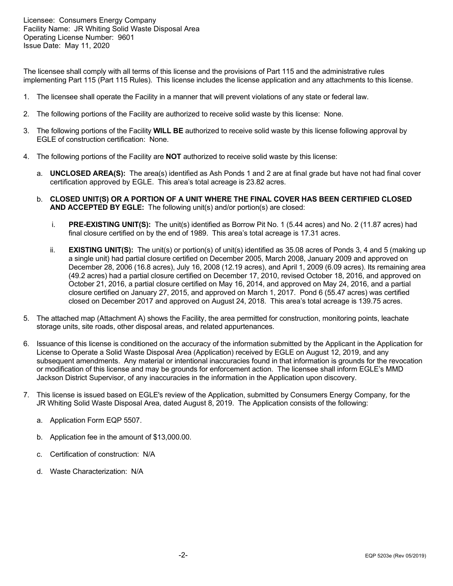The licensee shall comply with all terms of this license and the provisions of Part 115 and the administrative rules implementing Part 115 (Part 115 Rules). This license includes the license application and any attachments to this license.

- 1. The licensee shall operate the Facility in a manner that will prevent violations of any state or federal law.
- 2. The following portions of the Facility are authorized to receive solid waste by this license: None.
- 3. The following portions of the Facility **WILL BE** authorized to receive solid waste by this license following approval by EGLE of construction certification: None.
- 4. The following portions of the Facility are **NOT** authorized to receive solid waste by this license:
	- a. **UNCLOSED AREA(S):** The area(s) identified as Ash Ponds 1 and 2 are at final grade but have not had final cover certification approved by EGLE. This area's total acreage is 23.82 acres.
	- b. **CLOSED UNIT(S) OR A PORTION OF A UNIT WHERE THE FINAL COVER HAS BEEN CERTIFIED CLOSED AND ACCEPTED BY EGLE:** The following unit(s) and/or portion(s) are closed:
		- i. **PRE-EXISTING UNIT(S):** The unit(s) identified as Borrow Pit No. 1 (5.44 acres) and No. 2 (11.87 acres) had final closure certified on by the end of 1989. This area's total acreage is 17.31 acres.
		- ii. **EXISTING UNIT(S):** The unit(s) or portion(s) of unit(s) identified as 35.08 acres of Ponds 3, 4 and 5 (making up a single unit) had partial closure certified on December 2005, March 2008, January 2009 and approved on December 28, 2006 (16.8 acres), July 16, 2008 (12.19 acres), and April 1, 2009 (6.09 acres). Its remaining area (49.2 acres) had a partial closure certified on December 17, 2010, revised October 18, 2016, and approved on October 21, 2016, a partial closure certified on May 16, 2014, and approved on May 24, 2016, and a partial closure certified on January 27, 2015, and approved on March 1, 2017. Pond 6 (55.47 acres) was certified closed on December 2017 and approved on August 24, 2018. This area's total acreage is 139.75 acres.
- 5. The attached map (Attachment A) shows the Facility, the area permitted for construction, monitoring points, leachate storage units, site roads, other disposal areas, and related appurtenances.
- 6. Issuance of this license is conditioned on the accuracy of the information submitted by the Applicant in the Application for License to Operate a Solid Waste Disposal Area (Application) received by EGLE on August 12, 2019, and any subsequent amendments. Any material or intentional inaccuracies found in that information is grounds for the revocation or modification of this license and may be grounds for enforcement action. The licensee shall inform EGLE's MMD Jackson District Supervisor, of any inaccuracies in the information in the Application upon discovery.
- 7. This license is issued based on EGLE's review of the Application, submitted by Consumers Energy Company*,* for the JR Whiting Solid Waste Disposal Area, dated August 8, 2019. The Application consists of the following:
	- a. Application Form EQP 5507.
	- b. Application fee in the amount of \$13,000.00.
	- c. Certification of construction: N/A
	- d. Waste Characterization: N/A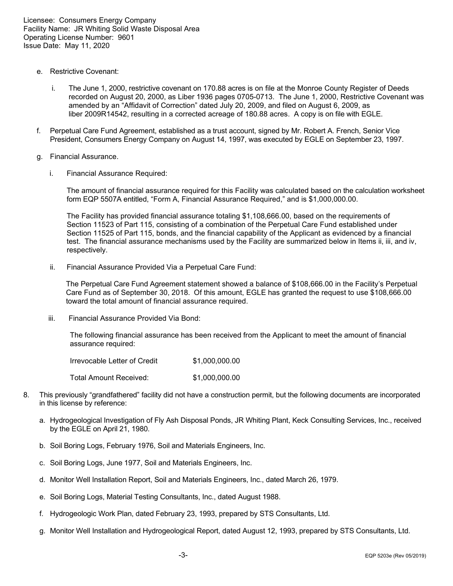- e. Restrictive Covenant:
	- i. The June 1, 2000, restrictive covenant on 170.88 acres is on file at the Monroe County Register of Deeds recorded on August 20, 2000, as Liber 1936 pages 0705-0713. The June 1, 2000, Restrictive Covenant was amended by an "Affidavit of Correction" dated July 20, 2009, and filed on August 6, 2009, as liber 2009R14542, resulting in a corrected acreage of 180.88 acres. A copy is on file with EGLE.
- f. Perpetual Care Fund Agreement, established as a trust account, signed by Mr. Robert A. French, Senior Vice President, Consumers Energy Company on August 14, 1997, was executed by EGLE on September 23, 1997.
- g. Financial Assurance.
	- i. Financial Assurance Required:

The amount of financial assurance required for this Facility was calculated based on the calculation worksheet form EQP 5507A entitled, "Form A, Financial Assurance Required," and is \$1,000,000.00.

The Facility has provided financial assurance totaling \$1,108,666.00, based on the requirements of Section 11523 of Part 115, consisting of a combination of the Perpetual Care Fund established under Section 11525 of Part 115, bonds, and the financial capability of the Applicant as evidenced by a financial test. The financial assurance mechanisms used by the Facility are summarized below in Items ii, iii, and iv, respectively.

ii. Financial Assurance Provided Via a Perpetual Care Fund:

The Perpetual Care Fund Agreement statement showed a balance of \$108,666.00 in the Facility's Perpetual Care Fund as of September 30, 2018. Of this amount, EGLE has granted the request to use \$108,666.00 toward the total amount of financial assurance required.

iii. Financial Assurance Provided Via Bond:

The following financial assurance has been received from the Applicant to meet the amount of financial assurance required:

| Irrevocable Letter of Credit | \$1,000,000.00 |
|------------------------------|----------------|
| Total Amount Received:       | \$1.000.000.00 |

- 8. This previously "grandfathered" facility did not have a construction permit, but the following documents are incorporated in this license by reference:
	- a. Hydrogeological Investigation of Fly Ash Disposal Ponds, JR Whiting Plant, Keck Consulting Services, Inc., received by the EGLE on April 21, 1980.
	- b. Soil Boring Logs, February 1976, Soil and Materials Engineers, Inc.
	- c. Soil Boring Logs, June 1977, Soil and Materials Engineers, Inc.
	- d. Monitor Well Installation Report, Soil and Materials Engineers, Inc., dated March 26, 1979.
	- e. Soil Boring Logs, Material Testing Consultants, Inc., dated August 1988.
	- f. Hydrogeologic Work Plan, dated February 23, 1993, prepared by STS Consultants, Ltd.
	- g. Monitor Well Installation and Hydrogeological Report, dated August 12, 1993, prepared by STS Consultants, Ltd.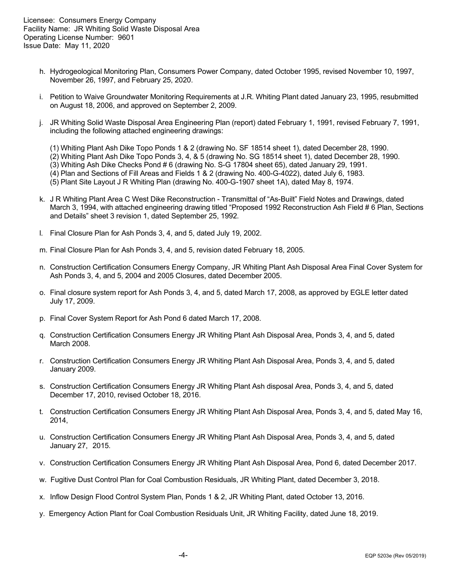- h. Hydrogeological Monitoring Plan, Consumers Power Company, dated October 1995, revised November 10, 1997, November 26, 1997, and February 25, 2020.
- i. Petition to Waive Groundwater Monitoring Requirements at J.R. Whiting Plant dated January 23, 1995, resubmitted on August 18, 2006, and approved on September 2, 2009.
- j. JR Whiting Solid Waste Disposal Area Engineering Plan (report) dated February 1, 1991, revised February 7, 1991, including the following attached engineering drawings:

(1) Whiting Plant Ash Dike Topo Ponds 1 & 2 (drawing No. SF 18514 sheet 1), dated December 28, 1990.

- (2) Whiting Plant Ash Dike Topo Ponds 3, 4, & 5 (drawing No. SG 18514 sheet 1), dated December 28, 1990.
- (3) Whiting Ash Dike Checks Pond # 6 (drawing No. S-G 17804 sheet 65), dated January 29, 1991.
- (4) Plan and Sections of Fill Areas and Fields 1 & 2 (drawing No. 400-G-4022), dated July 6, 1983.
- (5) Plant Site Layout J R Whiting Plan (drawing No. 400-G-1907 sheet 1A), dated May 8, 1974.
- k. J R Whiting Plant Area C West Dike Reconstruction Transmittal of "As-Built" Field Notes and Drawings, dated March 3, 1994, with attached engineering drawing titled "Proposed 1992 Reconstruction Ash Field # 6 Plan, Sections and Details" sheet 3 revision 1, dated September 25, 1992.
- l. Final Closure Plan for Ash Ponds 3, 4, and 5, dated July 19, 2002.
- m. Final Closure Plan for Ash Ponds 3, 4, and 5, revision dated February 18, 2005.
- n. Construction Certification Consumers Energy Company, JR Whiting Plant Ash Disposal Area Final Cover System for Ash Ponds 3, 4, and 5, 2004 and 2005 Closures, dated December 2005.
- o. Final closure system report for Ash Ponds 3, 4, and 5, dated March 17, 2008, as approved by EGLE letter dated July 17, 2009.
- p. Final Cover System Report for Ash Pond 6 dated March 17, 2008.
- q. Construction Certification Consumers Energy JR Whiting Plant Ash Disposal Area, Ponds 3, 4, and 5, dated March 2008.
- r. Construction Certification Consumers Energy JR Whiting Plant Ash Disposal Area, Ponds 3, 4, and 5, dated January 2009.
- s. Construction Certification Consumers Energy JR Whiting Plant Ash disposal Area, Ponds 3, 4, and 5, dated December 17, 2010, revised October 18, 2016.
- t. Construction Certification Consumers Energy JR Whiting Plant Ash Disposal Area, Ponds 3, 4, and 5, dated May 16, 2014,
- u. Construction Certification Consumers Energy JR Whiting Plant Ash Disposal Area, Ponds 3, 4, and 5, dated January 27, 2015.
- v. Construction Certification Consumers Energy JR Whiting Plant Ash Disposal Area, Pond 6, dated December 2017.
- w. Fugitive Dust Control Plan for Coal Combustion Residuals, JR Whiting Plant, dated December 3, 2018.
- x. Inflow Design Flood Control System Plan, Ponds 1 & 2, JR Whiting Plant, dated October 13, 2016.
- y. Emergency Action Plant for Coal Combustion Residuals Unit, JR Whiting Facility, dated June 18, 2019.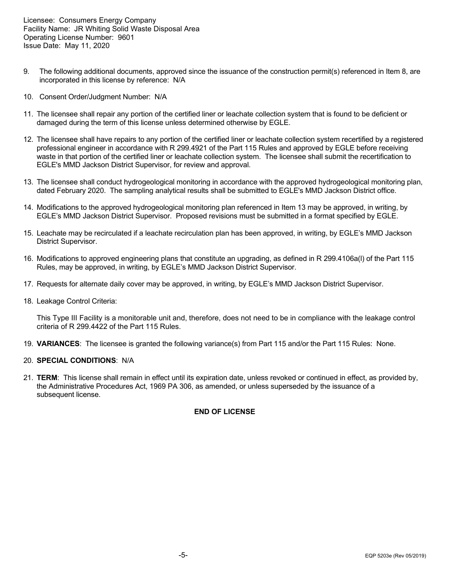- 9. The following additional documents, approved since the issuance of the construction permit(s) referenced in Item 8, are incorporated in this license by reference: N/A
- 10. Consent Order/Judgment Number: N/A
- 11. The licensee shall repair any portion of the certified liner or leachate collection system that is found to be deficient or damaged during the term of this license unless determined otherwise by EGLE.
- 12. The licensee shall have repairs to any portion of the certified liner or leachate collection system recertified by a registered professional engineer in accordance with R 299.4921 of the Part 115 Rules and approved by EGLE before receiving waste in that portion of the certified liner or leachate collection system. The licensee shall submit the recertification to EGLE's MMD Jackson District Supervisor, for review and approval.
- 13. The licensee shall conduct hydrogeological monitoring in accordance with the approved hydrogeological monitoring plan, dated February 2020. The sampling analytical results shall be submitted to EGLE's MMD Jackson District office.
- 14. Modifications to the approved hydrogeological monitoring plan referenced in Item 13 may be approved, in writing, by EGLE's MMD Jackson District Supervisor. Proposed revisions must be submitted in a format specified by EGLE.
- 15. Leachate may be recirculated if a leachate recirculation plan has been approved, in writing, by EGLE's MMD Jackson District Supervisor.
- 16. Modifications to approved engineering plans that constitute an upgrading, as defined in R 299.4106a(l) of the Part 115 Rules, may be approved, in writing, by EGLE's MMD Jackson District Supervisor.
- 17. Requests for alternate daily cover may be approved, in writing, by EGLE's MMD Jackson District Supervisor.
- 18. Leakage Control Criteria:

This Type III Facility is a monitorable unit and, therefore, does not need to be in compliance with the leakage control criteria of R 299.4422 of the Part 115 Rules.

19. **VARIANCES**: The licensee is granted the following variance(s) from Part 115 and/or the Part 115 Rules: None.

## 20. **SPECIAL CONDITIONS**: N/A

21. **TERM**: This license shall remain in effect until its expiration date, unless revoked or continued in effect, as provided by, the Administrative Procedures Act, 1969 PA 306, as amended, or unless superseded by the issuance of a subsequent license.

## **END OF LICENSE**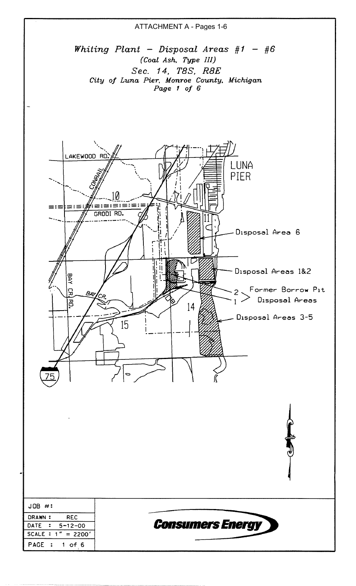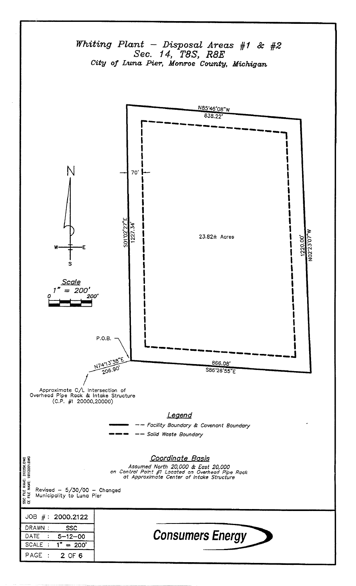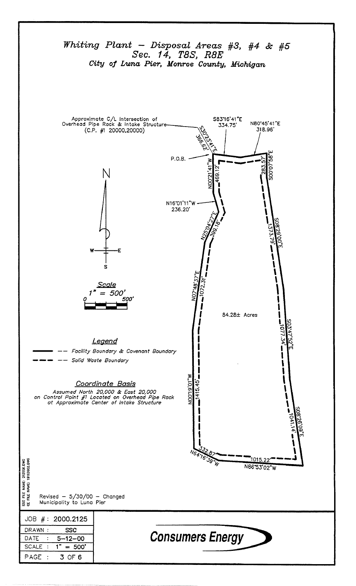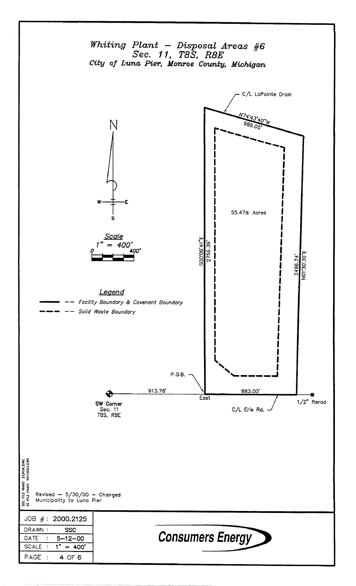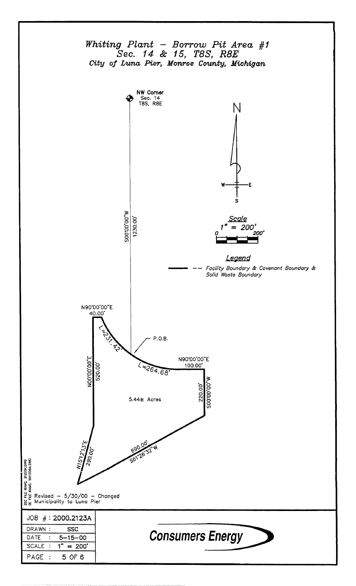